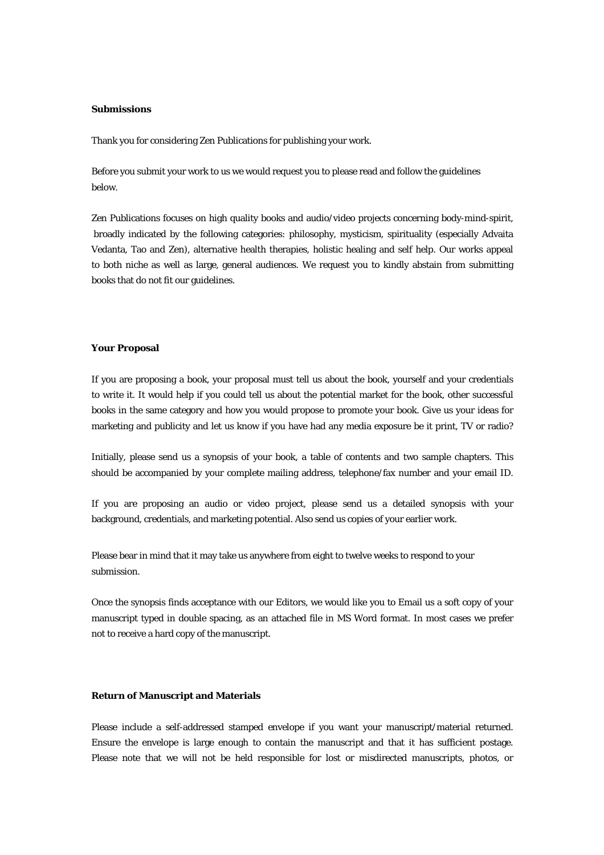## **Submissions**

Thank you for considering Zen Publications for publishing your work.

Before you submit your work to us we would request you to please read and follow the guidelines below.

Zen Publications focuses on high quality books and audio/video projects concerning body-mind-spirit, broadly indicated by the following categories: philosophy, mysticism, spirituality (especially Advaita Vedanta, Tao and Zen), alternative health therapies, holistic healing and self help. Our works appeal to both niche as well as large, general audiences. We request you to kindly abstain from submitting books that do not fit our guidelines.

## **Your Proposal**

If you are proposing a book, your proposal must tell us about the book, yourself and your credentials to write it. It would help if you could tell us about the potential market for the book, other successful books in the same category and how you would propose to promote your book. Give us your ideas for marketing and publicity and let us know if you have had any media exposure be it print, TV or radio?

Initially, please send us a synopsis of your book, a table of contents and two sample chapters. This should be accompanied by your complete mailing address, telephone/fax number and your email ID.

If you are proposing an audio or video project, please send us a detailed synopsis with your background, credentials, and marketing potential. Also send us copies of your earlier work.

Please bear in mind that it may take us anywhere from eight to twelve weeks to respond to your submission.

Once the synopsis finds acceptance with our Editors, we would like you to Email us a soft copy of your manuscript typed in double spacing, as an attached file in MS Word format. In most cases we prefer not to receive a hard copy of the manuscript.

## **Return of Manuscript and Materials**

Please include a self-addressed stamped envelope if you want your manuscript/material returned. Ensure the envelope is large enough to contain the manuscript and that it has sufficient postage. Please note that we will not be held responsible for lost or misdirected manuscripts, photos, or